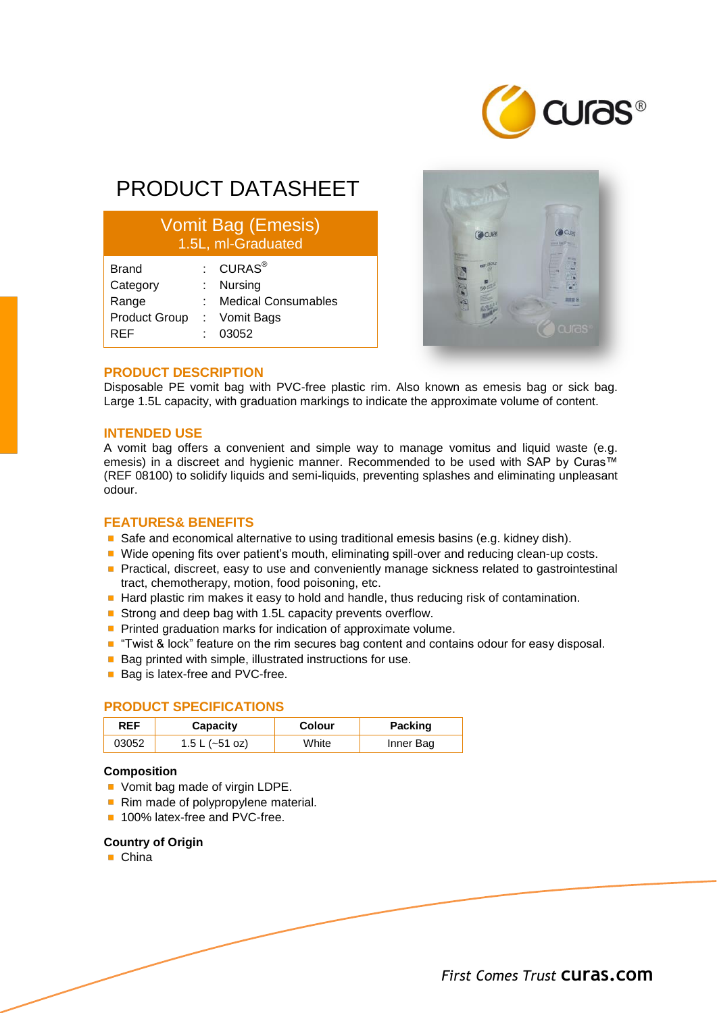

# PRODUCT DATASHEET

# Vomit Bag (Emesis) 1.5L, ml-Graduated

| $\colon$ CURAS $^\circledR$ |
|-----------------------------|
| Nursing                     |
| <b>Medical Consumables</b>  |
| : Vomit Bags                |
| 03052                       |
|                             |



## **PRODUCT DESCRIPTION**

Disposable PE vomit bag with PVC-free plastic rim. Also known as emesis bag or sick bag. Large 1.5L capacity, with graduation markings to indicate the approximate volume of content.

#### **INTENDED USE**

A vomit bag offers a convenient and simple way to manage vomitus and liquid waste (e.g. emesis) in a discreet and hygienic manner. Recommended to be used with SAP by Curas™ (REF 08100) to solidify liquids and semi-liquids, preventing splashes and eliminating unpleasant odour.

# **FEATURES& BENEFITS**

- Safe and economical alternative to using traditional emesis basins (e.g. kidney dish).
- Wide opening fits over patient's mouth, eliminating spill-over and reducing clean-up costs.
- **Practical, discreet, easy to use and conveniently manage sickness related to gastrointestinal** tract, chemotherapy, motion, food poisoning, etc.
- Hard plastic rim makes it easy to hold and handle, thus reducing risk of contamination.
- Strong and deep bag with 1.5L capacity prevents overflow.
- **Printed graduation marks for indication of approximate volume.**
- "Twist & lock" feature on the rim secures bag content and contains odour for easy disposal.
- Bag printed with simple, illustrated instructions for use.
- Bag is latex-free and PVC-free.

# **PRODUCT SPECIFICATIONS**

| <b>REF</b> | Capacity       | Colour | <b>Packing</b> |
|------------|----------------|--------|----------------|
| 03052      | 1.5 L (~51 oz) | White  | Inner Bag      |

### **Composition**

- Vomit bag made of virgin LDPE.
- Rim made of polypropylene material.
- 100% latex-free and PVC-free.

#### **Country of Origin**

■ China

*First Comes Trust* **curas.com**